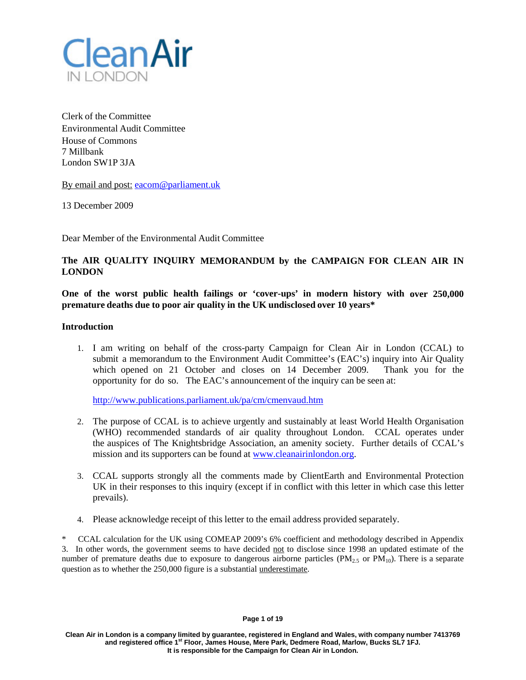

Clerk of the Committee Environmental Audit Committee House of Commons 7 Millbank London SW1P 3JA

By email and post: [eacom@parliament.uk](mailto:eacom@parliament.uk)

13 December 2009

Dear Member of the Environmental Audit Committee

# **The AIR QUALITY INQUIRY MEMORANDUM by the CAMPAIGN FOR CLEAN AIR IN LONDON**

**One of the worst public health failings or 'cover-ups' in modern history with over 250,000 premature deaths due to poor air quality in the UK undisclosed over 10 years\***

### **Introduction**

1. I am writing on behalf of the cross-party Campaign for Clean Air in London (CCAL) to submit a memorandum to the Environment Audit Committee's (EAC's) inquiry into Air Quality which opened on 21 October and closes on 14 December 2009. Thank you for the opportunity for do so. The EAC's announcement of the inquiry can be seen at:

<http://www.publications.parliament.uk/pa/cm/cmenvaud.htm>

- 2. The purpose of CCAL is to achieve urgently and sustainably at least World Health Organisation (WHO) recommended standards of air quality throughout London. CCAL operates under the auspices of The Knightsbridge Association, an amenity society. Further details of CCAL's mission and its supporters can be found at [www.cleanairinlondon.org.](http://www.cleanairinlondon.org/)
- 3. CCAL supports strongly all the comments made by ClientEarth and Environmental Protection UK in their responses to this inquiry (except if in conflict with this letter in which case this letter prevails).
- 4. Please acknowledge receipt of this letter to the email address provided separately.

\* CCAL calculation for the UK using COMEAP 2009's 6% coefficient and methodology described in Appendix 3. In other words, the government seems to have decided not to disclose since 1998 an updated estimate of the number of premature deaths due to exposure to dangerous airborne particles ( $PM_{2,5}$  or  $PM_{10}$ ). There is a separate question as to whether the 250,000 figure is a substantial underestimate.

#### **Page 1 of 19**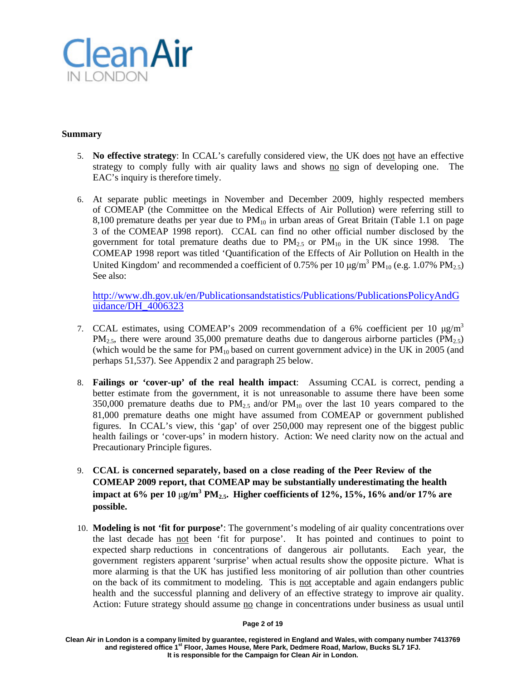

## **Summary**

- 5. **No effective strategy**: In CCAL's carefully considered view, the UK does not have an effective strategy to comply fully with air quality laws and shows no sign of developing one. The EAC's inquiry is therefore timely.
- 6. At separate public meetings in November and December 2009, highly respected members of COMEAP (the Committee on the Medical Effects of Air Pollution) were referring still to 8,100 premature deaths per year due to  $PM_{10}$  in urban areas of Great Britain (Table 1.1 on page 3 of the COMEAP 1998 report). CCAL can find no other official number disclosed by the government for total premature deaths due to  $PM_{2.5}$  or  $PM_{10}$  in the UK since 1998. The COMEAP 1998 report was titled 'Quantification of the Effects of Air Pollution on Health in the United Kingdom' and recommended a coefficient of 0.75% per 10  $\mu$ g/m<sup>3</sup> PM<sub>10</sub> (e.g. 1.07% PM<sub>2.5</sub>) See also:

[http://www.dh.gov.uk/en/Publicationsandstatistics/Publications/PublicationsPolicyAndG](http://www.dh.gov.uk/en/Publicationsandstatistics/Publications/PublicationsPolicyAndGuidance/DH_4006323) [uidance/DH\\_4006323](http://www.dh.gov.uk/en/Publicationsandstatistics/Publications/PublicationsPolicyAndGuidance/DH_4006323)

- 7. CCAL estimates, using COMEAP's 2009 recommendation of a 6% coefficient per 10 μg/m<sup>3</sup>  $PM_{2.5}$ , there were around 35,000 premature deaths due to dangerous airborne particles ( $PM_{2.5}$ ) (which would be the same for  $PM_{10}$  based on current government advice) in the UK in 2005 (and perhaps 51,537). See Appendix 2 and paragraph 25 below.
- 8. **Failings or 'cover-up' of the real health impact**: Assuming CCAL is correct, pending a better estimate from the government, it is not unreasonable to assume there have been some 350,000 premature deaths due to  $PM_{2.5}$  and/or  $PM_{10}$  over the last 10 years compared to the 81,000 premature deaths one might have assumed from COMEAP or government published figures. In CCAL's view, this 'gap' of over 250,000 may represent one of the biggest public health failings or 'cover-ups' in modern history. Action: We need clarity now on the actual and Precautionary Principle figures.
- 9. **CCAL is concerned separately, based on a close reading of the Peer Review of the COMEAP 2009 report, that COMEAP may be substantially underestimating the health impact at 6% per 10** μ**g/m<sup>3</sup> PM2.5. Higher coefficients of 12%, 15%, 16% and/or 17% are possible.**
- 10. **Modeling is not 'fit for purpose'**: The government's modeling of air quality concentrations over the last decade has not been 'fit for purpose'. It has pointed and continues to point to expected sharp reductions in concentrations of dangerous air pollutants. Each year, the government registers apparent 'surprise' when actual results show the opposite picture. What is more alarming is that the UK has justified less monitoring of air pollution than other countries on the back of its commitment to modeling. This is not acceptable and again endangers public health and the successful planning and delivery of an effective strategy to improve air quality. Action: Future strategy should assume no change in concentrations under business as usual until

### **Page 2 of 19**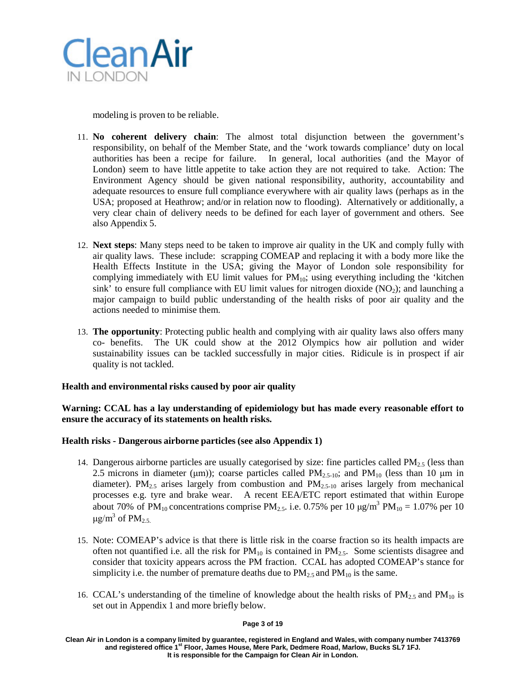

modeling is proven to be reliable.

- 11. **No coherent delivery chain**: The almost total disjunction between the government's responsibility, on behalf of the Member State, and the 'work towards compliance' duty on local authorities has been a recipe for failure. In general, local authorities (and the Mayor of London) seem to have little appetite to take action they are not required to take. Action: The Environment Agency should be given national responsibility, authority, accountability and adequate resources to ensure full compliance everywhere with air quality laws (perhaps as in the USA; proposed at Heathrow; and/or in relation now to flooding). Alternatively or additionally, a very clear chain of delivery needs to be defined for each layer of government and others. See also Appendix 5.
- 12. **Next steps**: Many steps need to be taken to improve air quality in the UK and comply fully with air quality laws. These include: scrapping COMEAP and replacing it with a body more like the Health Effects Institute in the USA; giving the Mayor of London sole responsibility for complying immediately with EU limit values for  $PM_{10}$ ; using everything including the 'kitchen sink' to ensure full compliance with EU limit values for nitrogen dioxide  $(NO<sub>2</sub>)$ ; and launching a major campaign to build public understanding of the health risks of poor air quality and the actions needed to minimise them.
- 13. **The opportunity**: Protecting public health and complying with air quality laws also offers many co- benefits. The UK could show at the 2012 Olympics how air pollution and wider sustainability issues can be tackled successfully in major cities. Ridicule is in prospect if air quality is not tackled.

# **Health and environmental risks caused by poor air quality**

**Warning: CCAL has a lay understanding of epidemiology but has made every reasonable effort to ensure the accuracy of its statements on health risks.**

### **Health risks - Dangerous airborne particles (see also Appendix 1)**

- 14. Dangerous airborne particles are usually categorised by size: fine particles called  $PM<sub>2.5</sub>$  (less than 2.5 microns in diameter (μm)); coarse particles called  $PM_{2.5-10}$ ; and  $PM_{10}$  (less than 10 μm in diameter). PM<sub>2.5</sub> arises largely from combustion and PM<sub>2.5-10</sub> arises largely from mechanical processes e.g. tyre and brake wear. A recent EEA/ETC report estimated that within Europe about 70% of PM<sub>10</sub> concentrations comprise PM<sub>2.5</sub>. i.e. 0.75% per 10  $\mu$ g/m<sup>3</sup> PM<sub>10</sub> = 1.07% per 10  $\mu$ g/m<sup>3</sup> of PM<sub>2.5</sub>
- 15. Note: COMEAP's advice is that there is little risk in the coarse fraction so its health impacts are often not quantified i.e. all the risk for  $PM_{10}$  is contained in  $PM_{2.5}$ . Some scientists disagree and consider that toxicity appears across the PM fraction. CCAL has adopted COMEAP's stance for simplicity i.e. the number of premature deaths due to  $PM_{2.5}$  and  $PM_{10}$  is the same.
- 16. CCAL's understanding of the timeline of knowledge about the health risks of  $PM_{2.5}$  and  $PM_{10}$  is set out in Appendix 1 and more briefly below.

#### **Page 3 of 19**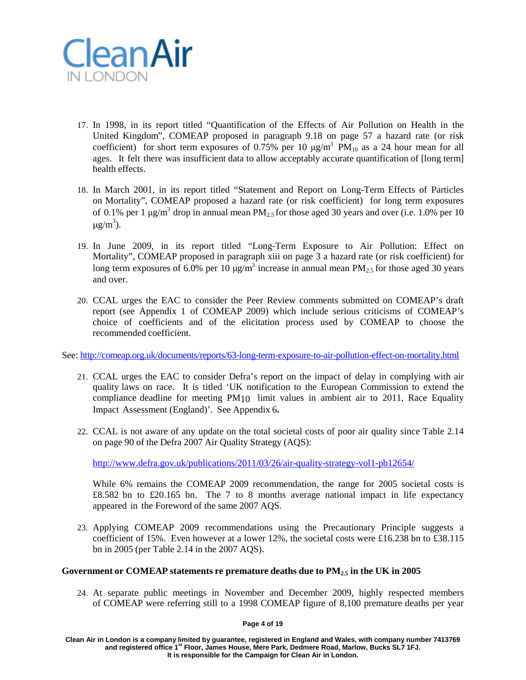

- 17. In 1998, in its report titled "Quantification of the Effects of Air Pollution on Health in the United Kingdom", COMEAP proposed in paragraph 9.18 on page 57 a hazard rate (or risk coefficient) for short term exposures of 0.75% per 10  $\mu$ g/m<sup>3</sup> PM<sub>10</sub> as a 24 hour mean for all ages. It felt there was insufficient data to allow acceptably accurate quantification of [long term] health effects.
- 18. In March 2001, in its report titled "Statement and Report on Long-Term Effects of Particles on Mortality", COMEAP proposed a hazard rate (or risk coefficient) for long term exposures of 0.1% per 1  $\mu$ g/m<sup>3</sup> drop in annual mean PM<sub>2.5</sub> for those aged 30 years and over (i.e. 1.0% per 10 μg/m<sup>3</sup>).
- 19. In June 2009, in its report titled "Long-Term Exposure to Air Pollution: Effect on Mortality", COMEAP proposed in paragraph xiii on page 3 a hazard rate (or risk coefficient) for long term exposures of 6.0% per 10  $\mu$ g/m<sup>3</sup> increase in annual mean PM<sub>2.5</sub> for those aged 30 years and over.
- 20. CCAL urges the EAC to consider the Peer Review comments submitted on COMEAP's draft report (see Appendix 1 of COMEAP 2009) which include serious criticisms of COMEAP's choice of coefficients and of the elicitation process used by COMEAP to choose the recommended coefficient.

See: <http://comeap.org.uk/documents/reports/63-long-term-exposure-to-air-pollution-effect-on-mortality.html>

- 21. CCAL urges the EAC to consider Defra's report on the impact of delay in complying with air quality laws on race. It is titled 'UK notification to the European Commission to extend the compliance deadline for meeting PM<sub>10</sub> limit values in ambient air to 2011, Race Equality Impact Assessment (England)'. See Appendix 6**.**
- 22. CCAL is not aware of any update on the total societal costs of poor air quality since Table 2.14 on page 90 of the Defra 2007 Air Quality Strategy (AQS):

<http://www.defra.gov.uk/publications/2011/03/26/air-quality-strategy-vol1-pb12654/>

While 6% remains the COMEAP 2009 recommendation, the range for 2005 societal costs is £8.582 bn to £20.165 bn. The 7 to 8 months average national impact in life expectancy appeared in the Foreword of the same 2007 AQS.

23. Applying COMEAP 2009 recommendations using the Precautionary Principle suggests a coefficient of 15%. Even however at a lower 12%, the societal costs were £16.238 bn to £38.115 bn in 2005 (per Table 2.14 in the 2007 AQS).

# **Government or COMEAP statements re premature deaths due to PM2.5 in the UK in 2005**

24. At separate public meetings in November and December 2009, highly respected members of COMEAP were referring still to a 1998 COMEAP figure of 8,100 premature deaths per year

**Page 4 of 19**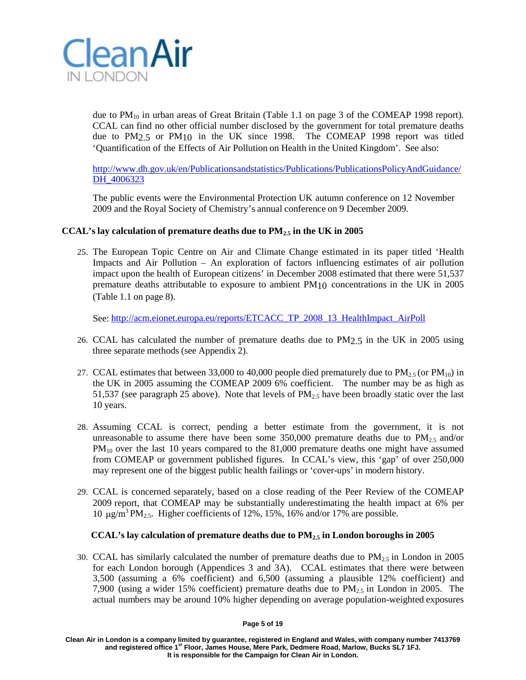

due to  $PM_{10}$  in urban areas of Great Britain (Table 1.1 on page 3 of the COMEAP 1998 report). CCAL can find no other official number disclosed by the government for total premature deaths due to PM2.5 or PM10 in the UK since 1998. The COMEAP 1998 report was titled 'Quantification of the Effects of Air Pollution on Health in the United Kingdom'. See also:

[http://www.dh.gov.uk/en/Publicationsandstatistics/Publications/PublicationsPolicyAndGuidance/](http://www.dh.gov.uk/en/Publicationsandstatistics/Publications/PublicationsPolicyAndGuidance/DH_4006323) DH 4006323

The public events were the Environmental Protection UK autumn conference on 12 November 2009 and the Royal Society of Chemistry's annual conference on 9 December 2009.

# **CCAL's lay calculation of premature deaths due to PM2.5 in the UK in 2005**

25. The European Topic Centre on Air and Climate Change estimated in its paper titled 'Health Impacts and Air Pollution – An exploration of factors influencing estimates of air pollution impact upon the health of European citizens' in December 2008 estimated that there were 51,537 premature deaths attributable to exposure to ambient  $PM_{10}$  concentrations in the UK in 2005 (Table 1.1 on page 8).

See: [http://acm.eionet.europa.eu/reports/ETCACC\\_TP\\_2008\\_13\\_HealthImpact\\_AirPoll](http://acm.eionet.europa.eu/reports/ETCACC_TP_2008_13_HealthImpact_AirPoll)

- 26. CCAL has calculated the number of premature deaths due to PM2.5 in the UK in 2005 using three separate methods (see Appendix 2).
- 27. CCAL estimates that between 33,000 to 40,000 people died prematurely due to  $PM_{2.5}$  (or  $PM_{10}$ ) in the UK in 2005 assuming the COMEAP 2009 6% coefficient. The number may be as high as 51,537 (see paragraph 25 above). Note that levels of  $PM<sub>2.5</sub>$  have been broadly static over the last 10 years.
- 28. Assuming CCAL is correct, pending a better estimate from the government, it is not unreasonable to assume there have been some  $350,000$  premature deaths due to PM<sub>2.5</sub> and/or PM<sub>10</sub> over the last 10 years compared to the 81,000 premature deaths one might have assumed from COMEAP or government published figures. In CCAL's view, this 'gap' of over 250,000 may represent one of the biggest public health failings or 'cover-ups' in modern history.
- 29. CCAL is concerned separately, based on a close reading of the Peer Review of the COMEAP 2009 report, that COMEAP may be substantially underestimating the health impact at 6% per 10 μg/m<sup>3</sup> PM<sub>2.5</sub>. Higher coefficients of 12%, 15%, 16% and/or 17% are possible.

# **CCAL's lay calculation of premature deaths due to PM2.5 in London boroughs in 2005**

30. CCAL has similarly calculated the number of premature deaths due to  $PM_{2.5}$  in London in 2005 for each London borough (Appendices 3 and 3A). CCAL estimates that there were between 3,500 (assuming a 6% coefficient) and 6,500 (assuming a plausible 12% coefficient) and 7,900 (using a wider 15% coefficient) premature deaths due to  $PM_{2.5}$  in London in 2005. The actual numbers may be around 10% higher depending on average population-weighted exposures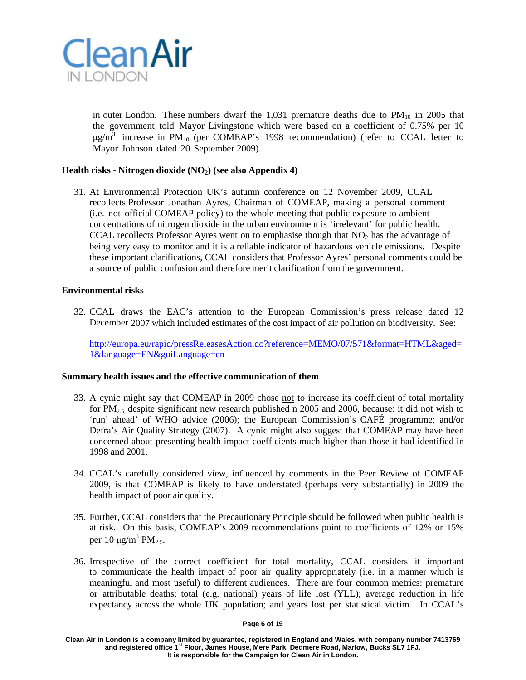

in outer London. These numbers dwarf the  $1,031$  premature deaths due to  $PM_{10}$  in 2005 that the government told Mayor Livingstone which were based on a coefficient of 0.75% per 10  $\mu$ g/m<sup>3</sup> increase in PM<sub>10</sub> (per COMEAP's 1998 recommendation) (refer to CCAL letter to Mayor Johnson dated 20 September 2009).

# **Health risks - Nitrogen dioxide (NO2) (see also Appendix 4)**

31. At Environmental Protection UK's autumn conference on 12 November 2009, CCAL recollects Professor Jonathan Ayres, Chairman of COMEAP, making a personal comment (i.e. not official COMEAP policy) to the whole meeting that public exposure to ambient concentrations of nitrogen dioxide in the urban environment is 'irrelevant' for public health. CCAL recollects Professor Ayres went on to emphasise though that  $NO<sub>2</sub>$  has the advantage of being very easy to monitor and it is a reliable indicator of hazardous vehicle emissions. Despite these important clarifications, CCAL considers that Professor Ayres' personal comments could be a source of public confusion and therefore merit clarification from the government.

### **Environmental risks**

32. CCAL draws the EAC's attention to the European Commission's press release dated 12 December 2007 which included estimates of the cost impact of air pollution on biodiversity. See:

[http://europa.eu/rapid/pressReleasesAction.do?reference=MEMO/07/571&format=HTML&aged=](http://europa.eu/rapid/pressReleasesAction.do?reference=MEMO/07/571&format=HTML&aged=1&language=EN&guiLanguage=en) [1&language=EN&guiLanguage=en](http://europa.eu/rapid/pressReleasesAction.do?reference=MEMO/07/571&format=HTML&aged=1&language=EN&guiLanguage=en)

### **Summary health issues and the effective communication of them**

- 33. A cynic might say that COMEAP in 2009 chose not to increase its coefficient of total mortality for PM<sub>2.5</sub> despite significant new research published n 2005 and 2006, because: it did not wish to 'run' ahead' of WHO advice (2006); the European Commission's CAFÉ programme; and/or Defra's Air Quality Strategy (2007). A cynic might also suggest that COMEAP may have been concerned about presenting health impact coefficients much higher than those it had identified in 1998 and 2001.
- 34. CCAL's carefully considered view, influenced by comments in the Peer Review of COMEAP 2009, is that COMEAP is likely to have understated (perhaps very substantially) in 2009 the health impact of poor air quality.
- 35. Further, CCAL considers that the Precautionary Principle should be followed when public health is at risk. On this basis, COMEAP's 2009 recommendations point to coefficients of 12% or 15% per 10  $\mu$ g/m<sup>3</sup> PM<sub>2.5</sub>.
- 36. Irrespective of the correct coefficient for total mortality, CCAL considers it important to communicate the health impact of poor air quality appropriately (i.e. in a manner which is meaningful and most useful) to different audiences. There are four common metrics: premature or attributable deaths; total (e.g. national) years of life lost (YLL); average reduction in life expectancy across the whole UK population; and years lost per statistical victim. In CCAL's

#### **Page 6 of 19**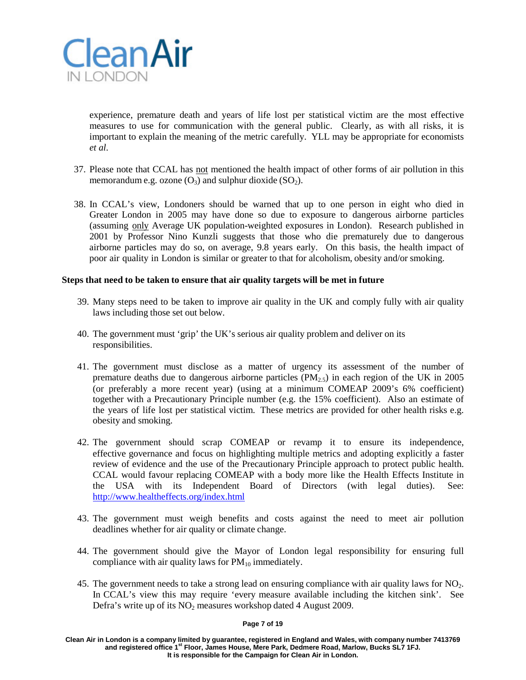

experience, premature death and years of life lost per statistical victim are the most effective measures to use for communication with the general public. Clearly, as with all risks, it is important to explain the meaning of the metric carefully. YLL may be appropriate for economists *et al*.

- 37. Please note that CCAL has not mentioned the health impact of other forms of air pollution in this memorandum e.g. ozone  $(O_3)$  and sulphur dioxide  $(SO_2)$ .
- 38. In CCAL's view, Londoners should be warned that up to one person in eight who died in Greater London in 2005 may have done so due to exposure to dangerous airborne particles (assuming only Average UK population-weighted exposures in London). Research published in 2001 by Professor Nino Kunzli suggests that those who die prematurely due to dangerous airborne particles may do so, on average, 9.8 years early. On this basis, the health impact of poor air quality in London is similar or greater to that for alcoholism, obesity and/or smoking.

### **Steps that need to be taken to ensure that air quality targets will be met in future**

- 39. Many steps need to be taken to improve air quality in the UK and comply fully with air quality laws including those set out below.
- 40. The government must 'grip' the UK's serious air quality problem and deliver on its responsibilities.
- 41. The government must disclose as a matter of urgency its assessment of the number of premature deaths due to dangerous airborne particles  $(PM<sub>2.5</sub>)$  in each region of the UK in 2005 (or preferably a more recent year) (using at a minimum COMEAP 2009's 6% coefficient) together with a Precautionary Principle number (e.g. the 15% coefficient). Also an estimate of the years of life lost per statistical victim. These metrics are provided for other health risks e.g. obesity and smoking.
- 42. The government should scrap COMEAP or revamp it to ensure its independence, effective governance and focus on highlighting multiple metrics and adopting explicitly a faster review of evidence and the use of the Precautionary Principle approach to protect public health. CCAL would favour replacing COMEAP with a body more like the Health Effects Institute in the USA with its Independent Board of Directors (with legal duties). See: <http://www.healtheffects.org/index.html>
- 43. The government must weigh benefits and costs against the need to meet air pollution deadlines whether for air quality or climate change.
- 44. The government should give the Mayor of London legal responsibility for ensuring full compliance with air quality laws for  $PM_{10}$  immediately.
- 45. The government needs to take a strong lead on ensuring compliance with air quality laws for  $NO<sub>2</sub>$ . In CCAL's view this may require 'every measure available including the kitchen sink'. See Defra's write up of its  $NO<sub>2</sub>$  measures workshop dated 4 August 2009.

#### **Page 7 of 19**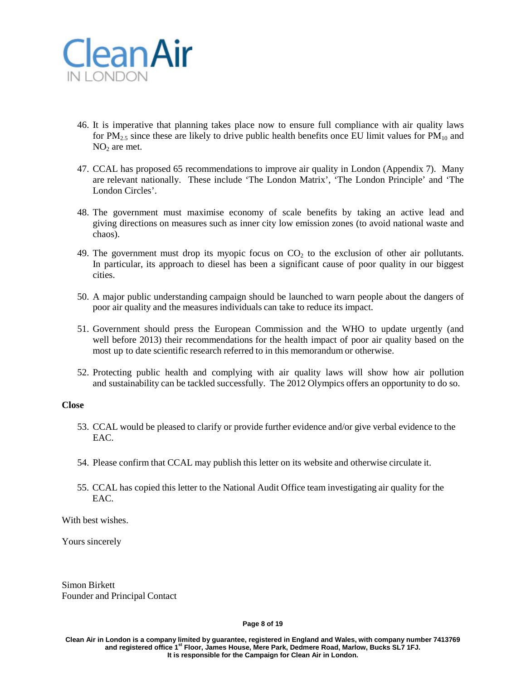

- 46. It is imperative that planning takes place now to ensure full compliance with air quality laws for PM<sub>2.5</sub> since these are likely to drive public health benefits once EU limit values for PM<sub>10</sub> and  $NO<sub>2</sub>$  are met.
- 47. CCAL has proposed 65 recommendations to improve air quality in London (Appendix 7). Many are relevant nationally. These include 'The London Matrix', 'The London Principle' and 'The London Circles'.
- 48. The government must maximise economy of scale benefits by taking an active lead and giving directions on measures such as inner city low emission zones (to avoid national waste and chaos).
- 49. The government must drop its myopic focus on  $CO<sub>2</sub>$  to the exclusion of other air pollutants. In particular, its approach to diesel has been a significant cause of poor quality in our biggest cities.
- 50. A major public understanding campaign should be launched to warn people about the dangers of poor air quality and the measures individuals can take to reduce its impact.
- 51. Government should press the European Commission and the WHO to update urgently (and well before 2013) their recommendations for the health impact of poor air quality based on the most up to date scientific research referred to in this memorandum or otherwise.
- 52. Protecting public health and complying with air quality laws will show how air pollution and sustainability can be tackled successfully. The 2012 Olympics offers an opportunity to do so.

### **Close**

- 53. CCAL would be pleased to clarify or provide further evidence and/or give verbal evidence to the EAC.
- 54. Please confirm that CCAL may publish this letter on its website and otherwise circulate it.
- 55. CCAL has copied this letter to the National Audit Office team investigating air quality for the EAC.

With best wishes.

Yours sincerely

Simon Birkett Founder and Principal Contact

#### **Page 8 of 19**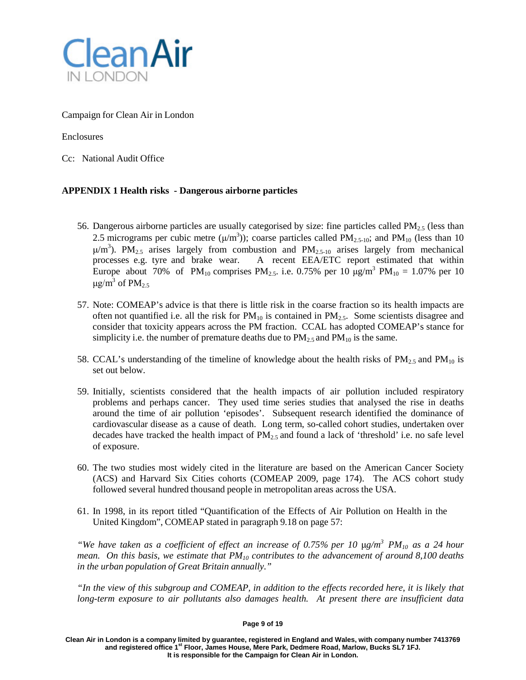

# Campaign for Clean Air in London

# Enclosures

Cc: National Audit Office

# **APPENDIX 1 Health risks - Dangerous airborne particles**

- 56. Dangerous airborne particles are usually categorised by size: fine particles called  $PM_{2.5}$  (less than 2.5 micrograms per cubic metre  $(\mu/m^3)$ ); coarse particles called PM<sub>2.5-10</sub>; and PM<sub>10</sub> (less than 10  $\mu/m^3$ ). PM<sub>2.5</sub> arises largely from combustion and PM<sub>2.5-10</sub> arises largely from mechanical processes e.g. tyre and brake wear. A recent EEA/ETC report estimated that within Europe about 70% of PM<sub>10</sub> comprises PM<sub>2.5</sub>. i.e. 0.75% per 10  $\mu$ g/m<sup>3</sup> PM<sub>10</sub> = 1.07% per 10  $\mu$ g/m<sup>3</sup> of PM<sub>2.5</sub>
- 57. Note: COMEAP's advice is that there is little risk in the coarse fraction so its health impacts are often not quantified i.e. all the risk for  $PM_{10}$  is contained in  $PM_{2.5}$ . Some scientists disagree and consider that toxicity appears across the PM fraction. CCAL has adopted COMEAP's stance for simplicity i.e. the number of premature deaths due to  $PM_{2.5}$  and  $PM_{10}$  is the same.
- 58. CCAL's understanding of the timeline of knowledge about the health risks of  $PM_{2.5}$  and  $PM_{10}$  is set out below.
- 59. Initially, scientists considered that the health impacts of air pollution included respiratory problems and perhaps cancer. They used time series studies that analysed the rise in deaths around the time of air pollution 'episodes'. Subsequent research identified the dominance of cardiovascular disease as a cause of death. Long term, so-called cohort studies, undertaken over decades have tracked the health impact of  $PM_{2.5}$  and found a lack of 'threshold' i.e. no safe level of exposure.
- 60. The two studies most widely cited in the literature are based on the American Cancer Society (ACS) and Harvard Six Cities cohorts (COMEAP 2009, page 174). The ACS cohort study followed several hundred thousand people in metropolitan areas across the USA.
- 61. In 1998, in its report titled "Quantification of the Effects of Air Pollution on Health in the United Kingdom", COMEAP stated in paragraph 9.18 on page 57:

*"We have taken as a coefficient of effect an increase of 0.75% per 10* μ*g/m3 PM10 as a 24 hour mean. On this basis, we estimate that PM10 contributes to the advancement of around 8,100 deaths in the urban population of Great Britain annually."*

*"In the view of this subgroup and COMEAP, in addition to the effects recorded here, it is likely that long-term exposure to air pollutants also damages health. At present there are insufficient data*

### **Page 9 of 19**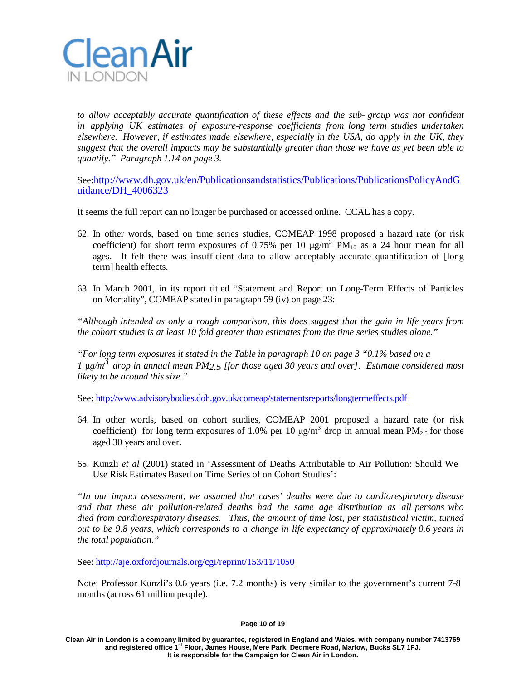

*to allow acceptably accurate quantification of these effects and the sub- group was not confident in applying UK estimates of exposure-response coefficients from long term studies undertaken elsewhere. However, if estimates made elsewhere, especially in the USA, do apply in the UK, they suggest that the overall impacts may be substantially greater than those we have as yet been able to quantify." Paragraph 1.14 on page 3.*

See[:http://www.dh.gov.uk/en/Publicationsandstatistics/Publications/PublicationsPolicyAndG](http://www.dh.gov.uk/en/Publicationsandstatistics/Publications/PublicationsPolicyAndGuidance/DH_4006323) [uidance/DH\\_4006323](http://www.dh.gov.uk/en/Publicationsandstatistics/Publications/PublicationsPolicyAndGuidance/DH_4006323)

It seems the full report can no longer be purchased or accessed online. CCAL has a copy.

- 62. In other words, based on time series studies, COMEAP 1998 proposed a hazard rate (or risk coefficient) for short term exposures of 0.75% per 10  $\mu$ g/m<sup>3</sup> PM<sub>10</sub> as a 24 hour mean for all ages. It felt there was insufficient data to allow acceptably accurate quantification of [long term] health effects.
- 63. In March 2001, in its report titled "Statement and Report on Long-Term Effects of Particles on Mortality", COMEAP stated in paragraph 59 (iv) on page 23:

*"Although intended as only a rough comparison, this does suggest that the gain in life years from the cohort studies is at least 10 fold greater than estimates from the time series studies alone."*

*"For long term exposures it stated in the Table in paragraph 10 on page 3 "0.1% based on a <sup>1</sup>* <sup>μ</sup>*g/m3 drop in annual mean PM2.5 [for those aged <sup>30</sup> years and over]. Estimate considered most likely to be around this size."*

See: <http://www.advisorybodies.doh.gov.uk/comeap/statementsreports/longtermeffects.pdf>

- 64. In other words, based on cohort studies, COMEAP 2001 proposed a hazard rate (or risk coefficient) for long term exposures of 1.0% per 10  $\mu$ g/m<sup>3</sup> drop in annual mean PM<sub>2.5</sub> for those aged 30 years and over**.**
- 65. Kunzli *et al* (2001) stated in 'Assessment of Deaths Attributable to Air Pollution: Should We Use Risk Estimates Based on Time Series of on Cohort Studies':

*"In our impact assessment, we assumed that cases' deaths were due to cardiorespiratory disease and that these air pollution-related deaths had the same age distribution as all persons who died from cardiorespiratory diseases. Thus, the amount of time lost, per statististical victim, turned out to be 9.8 years, which corresponds to a change in life expectancy of approximately 0.6 years in the total population."*

See: <http://aje.oxfordjournals.org/cgi/reprint/153/11/1050>

Note: Professor Kunzli's 0.6 years (i.e. 7.2 months) is very similar to the government's current 7-8 months (across 61 million people).

**Page 10 of 19**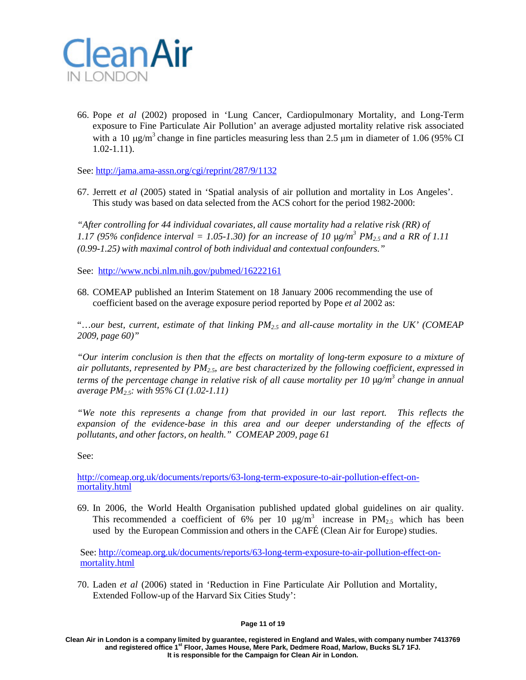

66. Pope *et al* (2002) proposed in 'Lung Cancer, Cardiopulmonary Mortality, and Long-Term exposure to Fine Particulate Air Pollution' an average adjusted mortality relative risk associated with a 10  $\mu$ g/m<sup>3</sup> change in fine particles measuring less than 2.5  $\mu$ m in diameter of 1.06 (95% CI 1.02-1.11).

See: <http://jama.ama-assn.org/cgi/reprint/287/9/1132>

67. Jerrett *et al* (2005) stated in 'Spatial analysis of air pollution and mortality in Los Angeles'. This study was based on data selected from the ACS cohort for the period 1982-2000:

*"After controlling for 44 individual covariates, all cause mortality had a relative risk (RR) of 1.17 (95% confidence interval = 1.05-1.30) for an increase of 10* μ*g/m 3 PM2.5 and a RR of 1.11 (0.99-1.25) with maximal control of both individual and contextual confounders."*

See: <http://www.ncbi.nlm.nih.gov/pubmed/16222161>

68. COMEAP published an Interim Statement on 18 January 2006 recommending the use of coefficient based on the average exposure period reported by Pope *et al* 2002 as:

"…*our best, current, estimate of that linking PM2.5 and all-cause mortality in the UK' (COMEAP 2009, page 60)"*

*"Our interim conclusion is then that the effects on mortality of long-term exposure to a mixture of air pollutants, represented by PM2.5, are best characterized by the following coefficient, expressed in terms of the percentage change in relative risk of all cause mortality per 10* μ*g/m3 change in annual average PM2.5: with 95% CI (1.02-1.11)*

*"We note this represents a change from that provided in our last report. This reflects the expansion of the evidence-base in this area and our deeper understanding of the effects of pollutants, and other factors, on health." COMEAP 2009, page 61*

See:

[http://comeap.org.uk/documents/reports/63-long-term-exposure-to-air-pollution-effect-on](http://comeap.org.uk/documents/reports/63-long-term-exposure-to-air-pollution-effect-on-mortality.html)[mortality.html](http://comeap.org.uk/documents/reports/63-long-term-exposure-to-air-pollution-effect-on-mortality.html)

69. In 2006, the World Health Organisation published updated global guidelines on air quality. This recommended a coefficient of 6% per 10  $\mu$ g/m<sup>3</sup> increase in PM<sub>2.5</sub> which has been used by the European Commission and others in the CAFÉ (Clean Air for Europe) studies.

See: [http://comeap.org.uk/documents/reports/63-long-term-exposure-to-air-pollution-effect-on](http://comeap.org.uk/documents/reports/63-long-term-exposure-to-air-pollution-effect-on-mortality.html)[mortality.html](http://comeap.org.uk/documents/reports/63-long-term-exposure-to-air-pollution-effect-on-mortality.html)

70. Laden *et al* (2006) stated in 'Reduction in Fine Particulate Air Pollution and Mortality, Extended Follow-up of the Harvard Six Cities Study':

### **Page 11 of 19**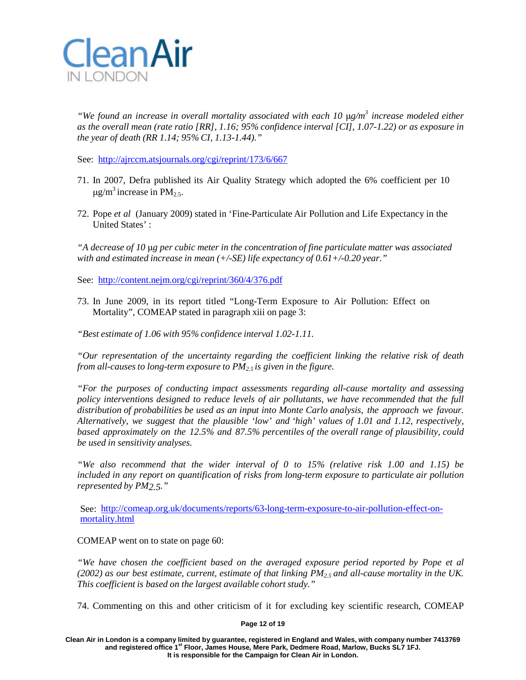

*"We found an increase in overall mortality associated with each 10* μ*g/m3 increase modeled either as the overall mean (rate ratio [RR], 1.16; 95% confidence interval [CI], 1.07-1.22) or as exposure in the year of death (RR 1.14; 95% CI, 1.13-1.44)."*

See: <http://ajrccm.atsjournals.org/cgi/reprint/173/6/667>

- 71. In 2007, Defra published its Air Quality Strategy which adopted the 6% coefficient per 10  $\mu$ g/m<sup>3</sup> increase in PM<sub>2.5</sub>.
- 72. Pope *et al* (January 2009) stated in 'Fine-Particulate Air Pollution and Life Expectancy in the United States' :

*"A decrease of 10* μ*g per cubic meter in the concentration of fine particulate matter was associated with and estimated increase in mean (+/-SE) life expectancy of 0.61+/-0.20 year."*

See: <http://content.nejm.org/cgi/reprint/360/4/376.pdf>

73. In June 2009, in its report titled "Long-Term Exposure to Air Pollution: Effect on Mortality", COMEAP stated in paragraph xiii on page 3:

*"Best estimate of 1.06 with 95% confidence interval 1.02-1.11.*

*"Our representation of the uncertainty regarding the coefficient linking the relative risk of death from all-causes to long-term exposure to PM2.5 is given in the figure.*

*"For the purposes of conducting impact assessments regarding all-cause mortality and assessing policy interventions designed to reduce levels of air pollutants, we have recommended that the full distribution of probabilities be used as an input into Monte Carlo analysis, the approach we favour. Alternatively, we suggest that the plausible 'low' and 'high' values of 1.01 and 1.12, respectively, based approximately on the 12.5% and 87.5% percentiles of the overall range of plausibility, could be used in sensitivity analyses.*

*"We also recommend that the wider interval of 0 to 15% (relative risk 1.00 and 1.15) be included in any report on quantification of risks from long-term exposure to particulate air pollution represented by PM2.5."*

See: [http://comeap.org.uk/documents/reports/63-long-term-exposure-to-air-pollution-effect-on](http://comeap.org.uk/documents/reports/63-long-term-exposure-to-air-pollution-effect-on-mortality.html)[mortality.html](http://comeap.org.uk/documents/reports/63-long-term-exposure-to-air-pollution-effect-on-mortality.html)

COMEAP went on to state on page 60:

*"We have chosen the coefficient based on the averaged exposure period reported by Pope et al*  $(2002)$  *as our best estimate, current, estimate of that linking PM<sub>2</sub>, and all-cause mortality in the UK. This coefficient is based on the largest available cohort study."*

74. Commenting on this and other criticism of it for excluding key scientific research, COMEAP

### **Page 12 of 19**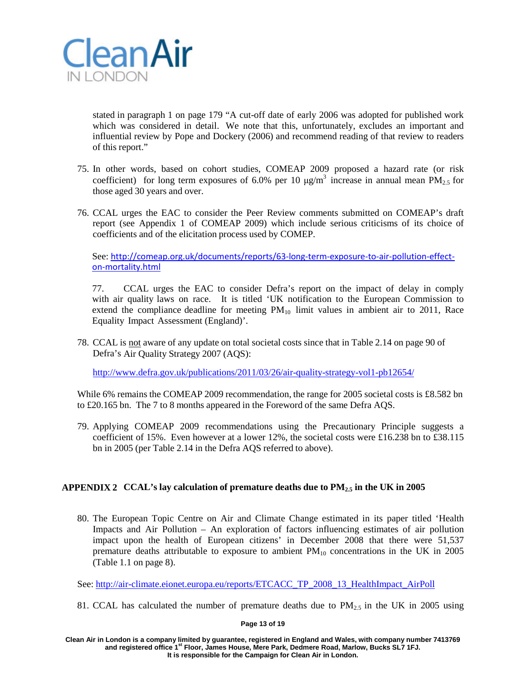

stated in paragraph 1 on page 179 "A cut-off date of early 2006 was adopted for published work which was considered in detail. We note that this, unfortunately, excludes an important and influential review by Pope and Dockery (2006) and recommend reading of that review to readers of this report."

- 75. In other words, based on cohort studies, COMEAP 2009 proposed a hazard rate (or risk coefficient) for long term exposures of 6.0% per 10  $\mu$ g/m<sup>3</sup> increase in annual mean PM<sub>2.5</sub> for those aged 30 years and over.
- 76. CCAL urges the EAC to consider the Peer Review comments submitted on COMEAP's draft report (see Appendix 1 of COMEAP 2009) which include serious criticisms of its choice of coefficients and of the elicitation process used by COMEP.

See: [http://comeap.org.uk/documents/reports/63-long-term-exposure-to-air-pollution-effect](http://comeap.org.uk/documents/reports/63-long-term-exposure-to-air-pollution-effect-on-mortality.html)[on-mortality.html](http://comeap.org.uk/documents/reports/63-long-term-exposure-to-air-pollution-effect-on-mortality.html)

77. CCAL urges the EAC to consider Defra's report on the impact of delay in comply with air quality laws on race. It is titled 'UK notification to the European Commission to extend the compliance deadline for meeting  $PM_{10}$  limit values in ambient air to 2011, Race Equality Impact Assessment (England)'.

78. CCAL is not aware of any update on total societal costs since that in Table 2.14 on page 90 of Defra's Air Quality Strategy 2007 (AQS):

<http://www.defra.gov.uk/publications/2011/03/26/air-quality-strategy-vol1-pb12654/>

While 6% remains the COMEAP 2009 recommendation, the range for 2005 societal costs is £8.582 bn to £20.165 bn. The 7 to 8 months appeared in the Foreword of the same Defra AQS.

79. Applying COMEAP 2009 recommendations using the Precautionary Principle suggests a coefficient of 15%. Even however at a lower 12%, the societal costs were £16.238 bn to £38.115 bn in 2005 (per Table 2.14 in the Defra AQS referred to above).

# **APPENDIX 2 CCAL's lay calculation of premature deaths due to PM2.5 in the UK in 2005**

80. The European Topic Centre on Air and Climate Change estimated in its paper titled 'Health Impacts and Air Pollution – An exploration of factors influencing estimates of air pollution impact upon the health of European citizens' in December 2008 that there were 51,537 premature deaths attributable to exposure to ambient  $PM_{10}$  concentrations in the UK in 2005 (Table 1.1 on page 8).

See: [http://air-climate.eionet.europa.eu/reports/ETCACC\\_TP\\_2008\\_13\\_HealthImpact\\_AirPoll](http://air-climate.eionet.europa.eu/reports/ETCACC_TP_2008_13_HealthImpact_AirPoll)

81. CCAL has calculated the number of premature deaths due to  $PM_{2.5}$  in the UK in 2005 using

### **Page 13 of 19**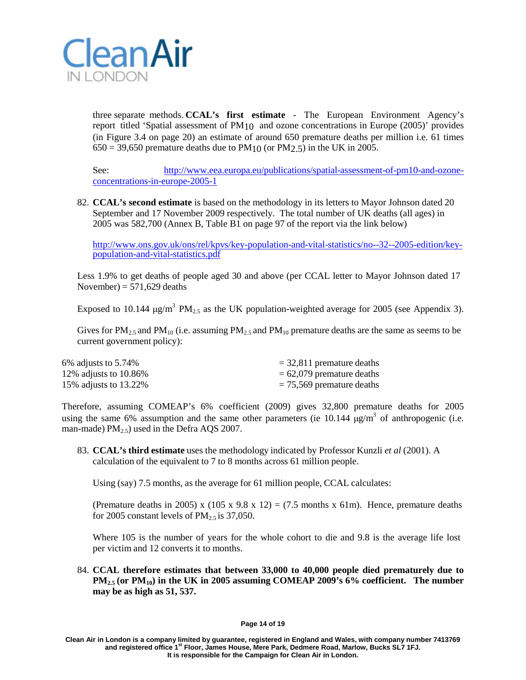

three separate methods. **CCAL's first estimate** - The European Environment Agency's report titled 'Spatial assessment of PM10 and ozone concentrations in Europe (2005)' provides (in Figure 3.4 on page 20) an estimate of around 650 premature deaths per million i.e. 61 times  $650 = 39,650$  premature deaths due to PM<sub>10</sub> (or PM<sub>2.5</sub>) in the UK in 2005.

See: [http://www.eea.europa.eu/publications/spatial-assessment-of-pm10-and-ozone](http://www.eea.europa.eu/publications/spatial-assessment-of-pm10-and-ozone-concentrations-in-europe-2005-1)[concentrations-in-europe-2005-1](http://www.eea.europa.eu/publications/spatial-assessment-of-pm10-and-ozone-concentrations-in-europe-2005-1)

82. **CCAL's second estimate** is based on the methodology in its letters to Mayor Johnson dated 20 September and 17 November 2009 respectively. The total number of UK deaths (all ages) in 2005 was 582,700 (Annex B, Table B1 on page 97 of the report via the link below)

[http://www.ons.gov.uk/ons/rel/kpvs/key-population-and-vital-statistics/no--32--2005-edition/key-](http://www.ons.gov.uk/ons/rel/kpvs/key-population-and-vital-statistics/no--32--2005-edition/key-population-and-vital-statistics.pdf) [population-and-vital-statistics.pdf](http://www.ons.gov.uk/ons/rel/kpvs/key-population-and-vital-statistics/no--32--2005-edition/key-population-and-vital-statistics.pdf)

Less 1.9% to get deaths of people aged 30 and above (per CCAL letter to Mayor Johnson dated 17 November) =  $571,629$  deaths

Exposed to 10.144  $\mu$ g/m<sup>3</sup> PM<sub>2.5</sub> as the UK population-weighted average for 2005 (see Appendix 3).

Gives for  $PM_{2.5}$  and  $PM_{10}$  (i.e. assuming  $PM_{2.5}$  and  $PM_{10}$  premature deaths are the same as seems to be current government policy):

| 6\% adjusts to $5.74\%$   | $=$ 32,811 premature deaths |
|---------------------------|-----------------------------|
| 12\% adjusts to $10.86\%$ | $= 62,079$ premature deaths |
| 15\% adjusts to 13.22\%   | $= 75,569$ premature deaths |

Therefore, assuming COMEAP's 6% coefficient (2009) gives 32,800 premature deaths for 2005 using the same 6% assumption and the same other parameters (ie  $10.144 \mu g/m<sup>3</sup>$  of anthropogenic (i.e. man-made)  $PM_{2.5}$ ) used in the Defra AQS 2007.

83. **CCAL's third estimate** uses the methodology indicated by Professor Kunzli *et al* (2001). A calculation of the equivalent to 7 to 8 months across 61 million people.

Using (say) 7.5 months, as the average for 61 million people, CCAL calculates:

(Premature deaths in 2005) x (105 x 9.8 x 12) = (7.5 months x 61m). Hence, premature deaths for 2005 constant levels of  $PM_{2.5}$  is 37,050.

Where 105 is the number of years for the whole cohort to die and 9.8 is the average life lost per victim and 12 converts it to months.

84. **CCAL therefore estimates that between 33,000 to 40,000 people died prematurely due to PM2.5 (or PM10) in the UK in 2005 assuming COMEAP 2009's 6% coefficient. The number may be as high as 51, 537.**

#### **Page 14 of 19**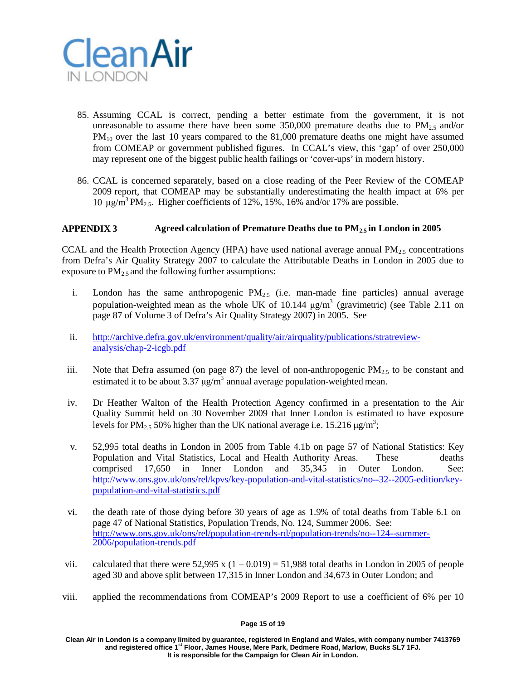

- 85. Assuming CCAL is correct, pending a better estimate from the government, it is not unreasonable to assume there have been some  $350,000$  premature deaths due to  $PM_{2.5}$  and/or PM<sub>10</sub> over the last 10 years compared to the 81,000 premature deaths one might have assumed from COMEAP or government published figures. In CCAL's view, this 'gap' of over 250,000 may represent one of the biggest public health failings or 'cover-ups' in modern history.
- 86. CCAL is concerned separately, based on a close reading of the Peer Review of the COMEAP 2009 report, that COMEAP may be substantially underestimating the health impact at 6% per 10 μg/m<sup>3</sup> PM<sub>2.5</sub>. Higher coefficients of 12%, 15%, 16% and/or 17% are possible.

### **APPENDIX 3 Agreed calculation of Premature Deaths due to PM2.5 in London in 2005**

CCAL and the Health Protection Agency (HPA) have used national average annual  $PM_{2.5}$  concentrations from Defra's Air Quality Strategy 2007 to calculate the Attributable Deaths in London in 2005 due to exposure to  $PM_2$ , and the following further assumptions:

- i. London has the same anthropogenic  $PM_{2.5}$  (i.e. man-made fine particles) annual average population-weighted mean as the whole UK of 10.144  $\mu$ g/m<sup>3</sup> (gravimetric) (see Table 2.11 on page 87 of Volume 3 of Defra's Air Quality Strategy 2007) in 2005. See
- ii. http://archive.defra.gov.uk/environment/quality/air/airquality/publications/stratreviewanalysis/chap-2-icgb.pdf
- iii. Note that Defra assumed (on page 87) the level of non-anthropogenic  $PM_{2.5}$  to be constant and estimated it to be about 3.37  $\mu$ g/m<sup>3</sup> annual average population-weighted mean.
- iv. Dr Heather Walton of the Health Protection Agency confirmed in a presentation to the Air Quality Summit held on 30 November 2009 that Inner London is estimated to have exposure levels for PM<sub>2.5</sub> 50% higher than the UK national average i.e. 15.216  $\mu$ g/m<sup>3</sup>;
- v. 52,995 total deaths in London in 2005 from Table 4.1b on page 57 of National Statistics: Key Population and Vital Statistics, Local and Health Authority Areas. These deaths comprised 17,650 in Inner London and 35,345 in Outer London. See: [http://www.ons.gov.uk/ons/rel/kpvs/key-population-and-vital-statistics/no--32--2005-edition/key](http://www.ons.gov.uk/ons/rel/kpvs/key-population-and-vital-statistics/no--32--2005-edition/key-population-and-vital-statistics.pdf)[population-and-vital-statistics.pdf](http://www.ons.gov.uk/ons/rel/kpvs/key-population-and-vital-statistics/no--32--2005-edition/key-population-and-vital-statistics.pdf)
- vi. the death rate of those dying before 30 years of age as 1.9% of total deaths from Table 6.1 on page 47 of National Statistics, Population Trends, No. 124, Summer 2006. See: [http://www.ons.gov.uk/ons/rel/population-trends-rd/population-trends/no--124--summer-](http://www.ons.gov.uk/ons/rel/population-trends-rd/population-trends/no--124--summer-2006/population-trends.pdf) [2006/population-trends.pdf](http://www.ons.gov.uk/ons/rel/population-trends-rd/population-trends/no--124--summer-2006/population-trends.pdf)
- vii. calculated that there were  $52,995 \times (1 0.019) = 51,988$  total deaths in London in 2005 of people aged 30 and above split between 17,315 in Inner London and 34,673 in Outer London; and
- viii. applied the recommendations from COMEAP's 2009 Report to use a coefficient of 6% per 10

### **Page 15 of 19**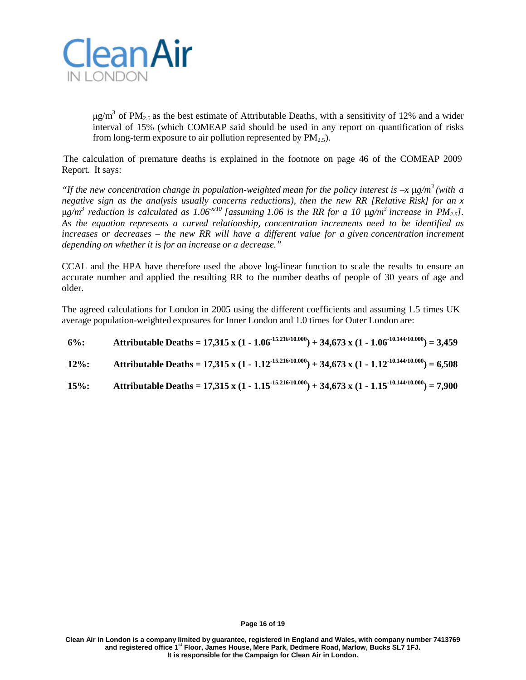

 $\mu$ g/m<sup>3</sup> of PM<sub>2.5</sub> as the best estimate of Attributable Deaths, with a sensitivity of 12% and a wider interval of 15% (which COMEAP said should be used in any report on quantification of risks from long-term exposure to air pollution represented by  $PM_{2.5}$ .

The calculation of premature deaths is explained in the footnote on page 46 of the COMEAP 2009 Report. It says:

*"If the new concentration change in population-weighted mean for the policy interest is –x* μ*g/m 3 (with a negative sign as the analysis usually concerns reductions), then the new RR [Relative Risk] for an x*  $\mu$ g/m<sup>3</sup> reduction is calculated as 1.06<sup>x/10</sup> [assuming 1.06 is the RR for a 10  $\mu$ g/m<sup>3</sup> increase in PM<sub>2.5</sub>]. *As the equation represents a curved relationship, concentration increments need to be identified as increases or decreases – the new RR will have a different value for a given concentration increment depending on whether it is for an increase or a decrease."*

CCAL and the HPA have therefore used the above log-linear function to scale the results to ensure an accurate number and applied the resulting RR to the number deaths of people of 30 years of age and older.

The agreed calculations for London in 2005 using the different coefficients and assuming 1.5 times UK average population-weighted exposures for Inner London and 1.0 times for Outer London are:

| $6\%$ :  | Attributable Deaths = 17,315 x (1 - 1.06 <sup>-15,216/10,000</sup> ) + 34,673 x (1 - 1.06 <sup>-10,144/10,000</sup> ) = 3,459 |
|----------|-------------------------------------------------------------------------------------------------------------------------------|
| $12\%$ : | Attributable Deaths = 17,315 x (1 - 1.12 <sup>-15.216/10.000</sup> ) + 34,673 x (1 - 1.12 <sup>-10.144/10.000</sup> ) = 6,508 |
| $15\%$ : | Attributable Deaths = 17,315 x (1 - 1.15 <sup>-15.216/10.000</sup> ) + 34,673 x (1 - 1.15 <sup>-10.144/10.000</sup> ) = 7,900 |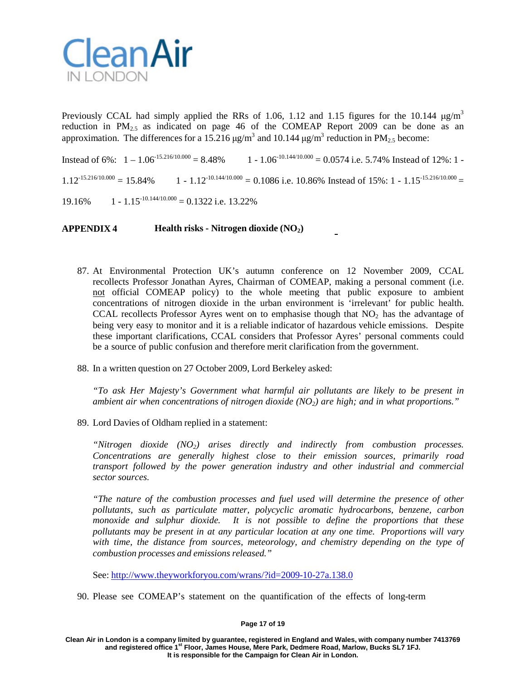

Previously CCAL had simply applied the RRs of 1.06, 1.12 and 1.15 figures for the 10.144  $\mu$ g/m<sup>3</sup> reduction in  $PM_{2.5}$  as indicated on page 46 of the COMEAP Report 2009 can be done as an approximation. The differences for a 15.216  $\mu$ g/m<sup>3</sup> and 10.144  $\mu$ g/m<sup>3</sup> reduction in PM<sub>2.5</sub> become:

Instead of 6%:  $1 - 1.06^{15.216/10.000} = 8.48\%$  1 - 1.06<sup>-10.144/10.000</sup> = 0.0574 i.e. 5.74% Instead of 12%: 1 - $1.12^{-15.216/10.000} = 15.84\%$  1 -  $1.12^{-10.144/10.000} = 0.1086$  i.e. 10.86% Instead of 15%: 1 - 1.15<sup>-15.216/10.000</sup> =

 $19.16\% \qquad 1 - 1.15^{-10.144/10.000} = 0.1322$  i.e. 13.22%

**APPENDIX 4 Health risks - Nitrogen dioxide (NO2)**

- 87. At Environmental Protection UK's autumn conference on 12 November 2009, CCAL recollects Professor Jonathan Ayres, Chairman of COMEAP, making a personal comment (i.e. not official COMEAP policy) to the whole meeting that public exposure to ambient concentrations of nitrogen dioxide in the urban environment is 'irrelevant' for public health. CCAL recollects Professor Ayres went on to emphasise though that  $NO<sub>2</sub>$  has the advantage of being very easy to monitor and it is a reliable indicator of hazardous vehicle emissions. Despite these important clarifications, CCAL considers that Professor Ayres' personal comments could be a source of public confusion and therefore merit clarification from the government.
- 88. In a written question on 27 October 2009, Lord Berkeley asked:

*"To ask Her Majesty's Government what harmful air pollutants are likely to be present in ambient air when concentrations of nitrogen dioxide (NO2) are high; and in what proportions."*

89. Lord Davies of Oldham replied in a statement:

*"Nitrogen dioxide (NO2) arises directly and indirectly from combustion processes. Concentrations are generally highest close to their emission sources, primarily road transport followed by the power generation industry and other industrial and commercial sector sources.*

*"The nature of the combustion processes and fuel used will determine the presence of other pollutants, such as particulate matter, polycyclic aromatic hydrocarbons, benzene, carbon monoxide and sulphur dioxide. It is not possible to define the proportions that these pollutants may be present in at any particular location at any one time. Proportions will vary with time, the distance from sources, meteorology, and chemistry depending on the type of combustion processes and emissions released."*

See: <http://www.theyworkforyou.com/wrans/?id=2009-10-27a.138.0>

90. Please see COMEAP's statement on the quantification of the effects of long-term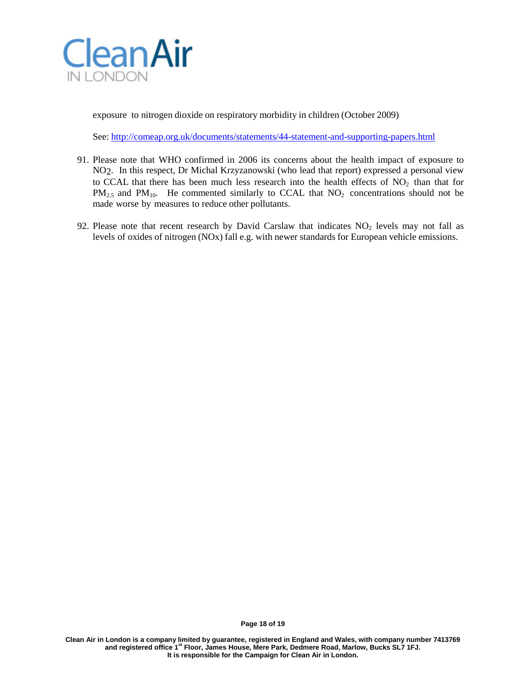

exposure to nitrogen dioxide on respiratory morbidity in children (October 2009)

See: <http://comeap.org.uk/documents/statements/44-statement-and-supporting-papers.html>

- 91. Please note that WHO confirmed in 2006 its concerns about the health impact of exposure to NO2. In this respect, Dr Michal Krzyzanowski (who lead that report) expressed a personal view to CCAL that there has been much less research into the health effects of  $NO<sub>2</sub>$  than that for  $PM_{2.5}$  and  $PM_{10}$ . He commented similarly to CCAL that  $NO_2$  concentrations should not be made worse by measures to reduce other pollutants.
- 92. Please note that recent research by David Carslaw that indicates  $NO<sub>2</sub>$  levels may not fall as levels of oxides of nitrogen (NOx) fall e.g. with newer standards for European vehicle emissions.

**Page 18 of 19**